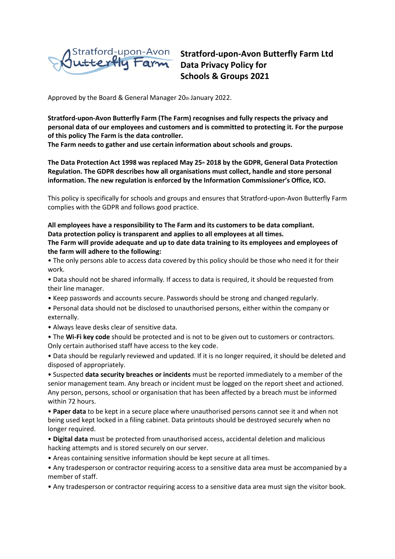

**Stratford-upon-Avon Butterfly Farm Ltd Data Privacy Policy for Schools & Groups 2021**

Approved by the Board & General Manager 20th January 2022.

**Stratford-upon-Avon Butterfly Farm (The Farm) recognises and fully respects the privacy and personal data of our employees and customers and is committed to protecting it. For the purpose of this policy The Farm is the data controller.** 

**The Farm needs to gather and use certain information about schools and groups.** 

**The Data Protection Act 1998 was replaced May 25th 2018 by the GDPR, General Data Protection Regulation. The GDPR describes how all organisations must collect, handle and store personal information. The new regulation is enforced by the Information Commissioner's Office, ICO.** 

This policy is specifically for schools and groups and ensures that Stratford-upon-Avon Butterfly Farm complies with the GDPR and follows good practice.

**All employees have a responsibility to The Farm and its customers to be data compliant. Data protection policy is transparent and applies to all employees at all times.** 

**The Farm will provide adequate and up to date data training to its employees and employees of the farm will adhere to the following:** 

• The only persons able to access data covered by this policy should be those who need it for their work.

• Data should not be shared informally. If access to data is required, it should be requested from their line manager.

- Keep passwords and accounts secure. Passwords should be strong and changed regularly.
- Personal data should not be disclosed to unauthorised persons, either within the company or externally.
- Always leave desks clear of sensitive data.
- The **Wi-Fi key code** should be protected and is not to be given out to customers or contractors. Only certain authorised staff have access to the key code.

• Data should be regularly reviewed and updated. If it is no longer required, it should be deleted and disposed of appropriately.

• Suspected **data security breaches or incidents** must be reported immediately to a member of the senior management team. Any breach or incident must be logged on the report sheet and actioned. Any person, persons, school or organisation that has been affected by a breach must be informed within 72 hours.

• **Paper data** to be kept in a secure place where unauthorised persons cannot see it and when not being used kept locked in a filing cabinet. Data printouts should be destroyed securely when no longer required.

• **Digital data** must be protected from unauthorised access, accidental deletion and malicious hacking attempts and is stored securely on our server.

• Areas containing sensitive information should be kept secure at all times.

• Any tradesperson or contractor requiring access to a sensitive data area must be accompanied by a member of staff.

• Any tradesperson or contractor requiring access to a sensitive data area must sign the visitor book.